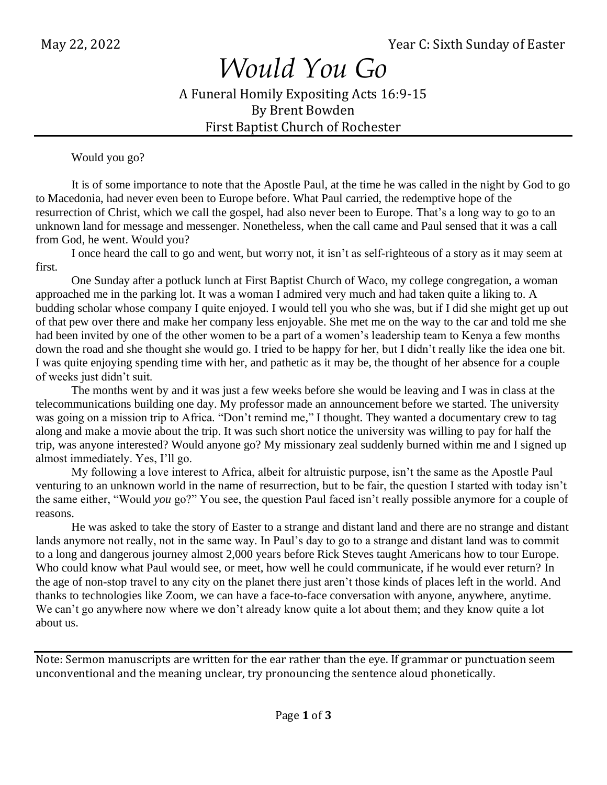## *Would You Go*

A Funeral Homily Expositing Acts 16:9-15 By Brent Bowden First Baptist Church of Rochester

Would you go?

It is of some importance to note that the Apostle Paul, at the time he was called in the night by God to go to Macedonia, had never even been to Europe before. What Paul carried, the redemptive hope of the resurrection of Christ, which we call the gospel, had also never been to Europe. That's a long way to go to an unknown land for message and messenger. Nonetheless, when the call came and Paul sensed that it was a call from God, he went. Would you?

I once heard the call to go and went, but worry not, it isn't as self-righteous of a story as it may seem at first.

One Sunday after a potluck lunch at First Baptist Church of Waco, my college congregation, a woman approached me in the parking lot. It was a woman I admired very much and had taken quite a liking to. A budding scholar whose company I quite enjoyed. I would tell you who she was, but if I did she might get up out of that pew over there and make her company less enjoyable. She met me on the way to the car and told me she had been invited by one of the other women to be a part of a women's leadership team to Kenya a few months down the road and she thought she would go. I tried to be happy for her, but I didn't really like the idea one bit. I was quite enjoying spending time with her, and pathetic as it may be, the thought of her absence for a couple of weeks just didn't suit.

The months went by and it was just a few weeks before she would be leaving and I was in class at the telecommunications building one day. My professor made an announcement before we started. The university was going on a mission trip to Africa. "Don't remind me," I thought. They wanted a documentary crew to tag along and make a movie about the trip. It was such short notice the university was willing to pay for half the trip, was anyone interested? Would anyone go? My missionary zeal suddenly burned within me and I signed up almost immediately. Yes, I'll go.

My following a love interest to Africa, albeit for altruistic purpose, isn't the same as the Apostle Paul venturing to an unknown world in the name of resurrection, but to be fair, the question I started with today isn't the same either, "Would *you* go?" You see, the question Paul faced isn't really possible anymore for a couple of reasons.

He was asked to take the story of Easter to a strange and distant land and there are no strange and distant lands anymore not really, not in the same way. In Paul's day to go to a strange and distant land was to commit to a long and dangerous journey almost 2,000 years before Rick Steves taught Americans how to tour Europe. Who could know what Paul would see, or meet, how well he could communicate, if he would ever return? In the age of non-stop travel to any city on the planet there just aren't those kinds of places left in the world. And thanks to technologies like Zoom, we can have a face-to-face conversation with anyone, anywhere, anytime. We can't go anywhere now where we don't already know quite a lot about them; and they know quite a lot about us.

Note: Sermon manuscripts are written for the ear rather than the eye. If grammar or punctuation seem unconventional and the meaning unclear, try pronouncing the sentence aloud phonetically.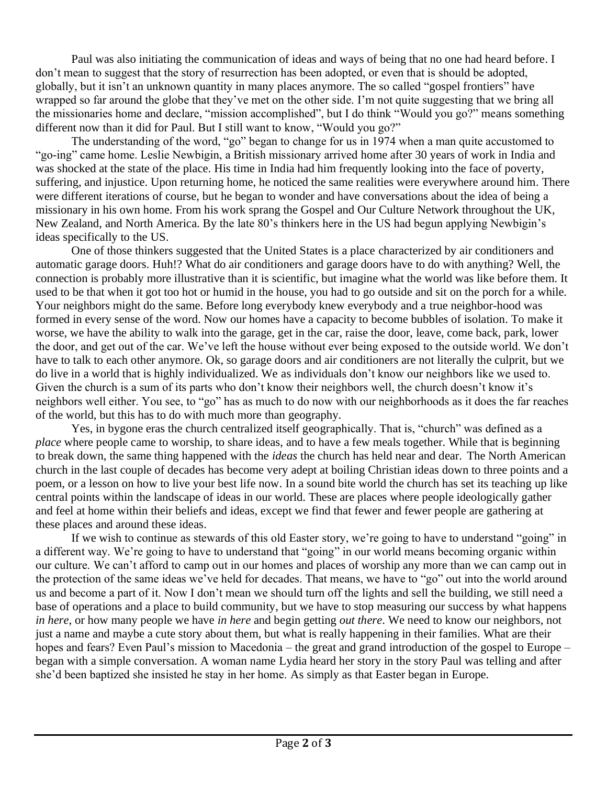Paul was also initiating the communication of ideas and ways of being that no one had heard before. I don't mean to suggest that the story of resurrection has been adopted, or even that is should be adopted, globally, but it isn't an unknown quantity in many places anymore. The so called "gospel frontiers" have wrapped so far around the globe that they've met on the other side. I'm not quite suggesting that we bring all the missionaries home and declare, "mission accomplished", but I do think "Would you go?" means something different now than it did for Paul. But I still want to know, "Would you go?"

The understanding of the word, "go" began to change for us in 1974 when a man quite accustomed to "go-ing" came home. Leslie Newbigin, a British missionary arrived home after 30 years of work in India and was shocked at the state of the place. His time in India had him frequently looking into the face of poverty, suffering, and injustice. Upon returning home, he noticed the same realities were everywhere around him. There were different iterations of course, but he began to wonder and have conversations about the idea of being a missionary in his own home. From his work sprang the Gospel and Our Culture Network throughout the UK, New Zealand, and North America. By the late 80's thinkers here in the US had begun applying Newbigin's ideas specifically to the US.

One of those thinkers suggested that the United States is a place characterized by air conditioners and automatic garage doors. Huh!? What do air conditioners and garage doors have to do with anything? Well, the connection is probably more illustrative than it is scientific, but imagine what the world was like before them. It used to be that when it got too hot or humid in the house, you had to go outside and sit on the porch for a while. Your neighbors might do the same. Before long everybody knew everybody and a true neighbor-hood was formed in every sense of the word. Now our homes have a capacity to become bubbles of isolation. To make it worse, we have the ability to walk into the garage, get in the car, raise the door, leave, come back, park, lower the door, and get out of the car. We've left the house without ever being exposed to the outside world. We don't have to talk to each other anymore. Ok, so garage doors and air conditioners are not literally the culprit, but we do live in a world that is highly individualized. We as individuals don't know our neighbors like we used to. Given the church is a sum of its parts who don't know their neighbors well, the church doesn't know it's neighbors well either. You see, to "go" has as much to do now with our neighborhoods as it does the far reaches of the world, but this has to do with much more than geography.

Yes, in bygone eras the church centralized itself geographically. That is, "church" was defined as a *place* where people came to worship, to share ideas, and to have a few meals together. While that is beginning to break down, the same thing happened with the *ideas* the church has held near and dear. The North American church in the last couple of decades has become very adept at boiling Christian ideas down to three points and a poem, or a lesson on how to live your best life now. In a sound bite world the church has set its teaching up like central points within the landscape of ideas in our world. These are places where people ideologically gather and feel at home within their beliefs and ideas, except we find that fewer and fewer people are gathering at these places and around these ideas.

If we wish to continue as stewards of this old Easter story, we're going to have to understand "going" in a different way. We're going to have to understand that "going" in our world means becoming organic within our culture. We can't afford to camp out in our homes and places of worship any more than we can camp out in the protection of the same ideas we've held for decades. That means, we have to "go" out into the world around us and become a part of it. Now I don't mean we should turn off the lights and sell the building, we still need a base of operations and a place to build community, but we have to stop measuring our success by what happens *in here*, or how many people we have *in here* and begin getting *out there*. We need to know our neighbors, not just a name and maybe a cute story about them, but what is really happening in their families. What are their hopes and fears? Even Paul's mission to Macedonia – the great and grand introduction of the gospel to Europe – began with a simple conversation. A woman name Lydia heard her story in the story Paul was telling and after she'd been baptized she insisted he stay in her home. As simply as that Easter began in Europe.